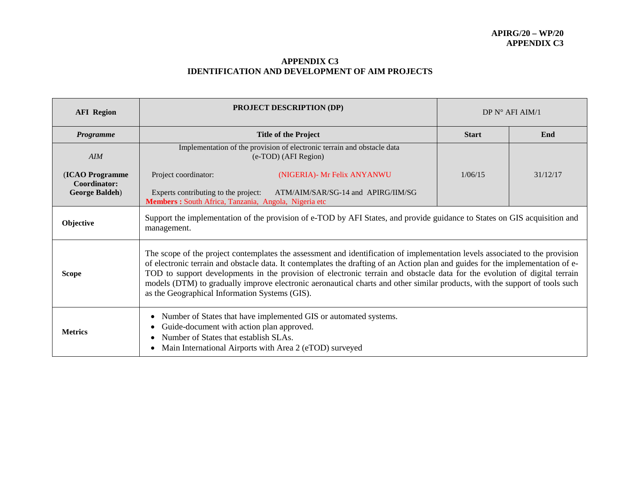## **APPENDIX C3 IDENTIFICATION AND DEVELOPMENT OF AIM PROJECTS**

| <b>AFI</b> Region                                         | <b>PROJECT DESCRIPTION (DP)</b>                                                                                                                                                                                                                                                                                                                                                                                                                                                                                                                                               | DP $N^{\circ}$ AFI AIM/1 |          |  |  |
|-----------------------------------------------------------|-------------------------------------------------------------------------------------------------------------------------------------------------------------------------------------------------------------------------------------------------------------------------------------------------------------------------------------------------------------------------------------------------------------------------------------------------------------------------------------------------------------------------------------------------------------------------------|--------------------------|----------|--|--|
| Programme                                                 | <b>Title of the Project</b>                                                                                                                                                                                                                                                                                                                                                                                                                                                                                                                                                   | <b>Start</b>             | End      |  |  |
| AIM                                                       | Implementation of the provision of electronic terrain and obstacle data<br>(e-TOD) (AFI Region)                                                                                                                                                                                                                                                                                                                                                                                                                                                                               |                          |          |  |  |
| (ICAO Programme<br>Coordinator:<br><b>George Baldeh</b> ) | Project coordinator:<br>(NIGERIA)- Mr Felix ANYANWU<br>Experts contributing to the project:<br>ATM/AIM/SAR/SG-14 and APIRG/IIM/SG<br>Members : South Africa, Tanzania, Angola, Nigeria etc                                                                                                                                                                                                                                                                                                                                                                                    | 1/06/15                  | 31/12/17 |  |  |
| Objective                                                 | Support the implementation of the provision of e-TOD by AFI States, and provide guidance to States on GIS acquisition and<br>management.                                                                                                                                                                                                                                                                                                                                                                                                                                      |                          |          |  |  |
| <b>Scope</b>                                              | The scope of the project contemplates the assessment and identification of implementation levels associated to the provision<br>of electronic terrain and obstacle data. It contemplates the drafting of an Action plan and guides for the implementation of e-<br>TOD to support developments in the provision of electronic terrain and obstacle data for the evolution of digital terrain<br>models (DTM) to gradually improve electronic aeronautical charts and other similar products, with the support of tools such<br>as the Geographical Information Systems (GIS). |                          |          |  |  |
| <b>Metrics</b>                                            | Number of States that have implemented GIS or automated systems.<br>Guide-document with action plan approved.<br>Number of States that establish SLAs.<br>Main International Airports with Area 2 (eTOD) surveyed                                                                                                                                                                                                                                                                                                                                                             |                          |          |  |  |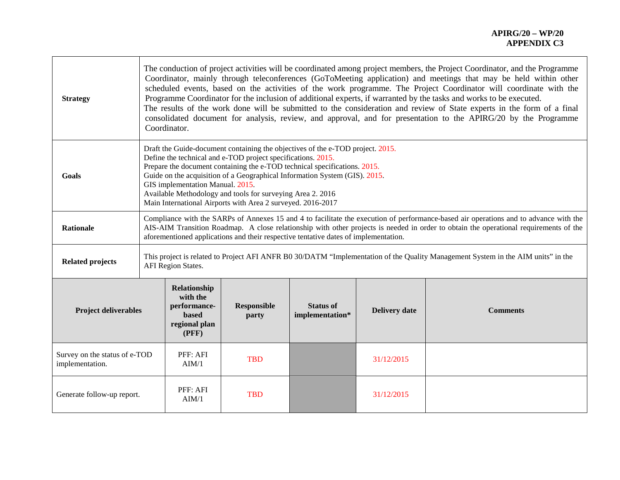| <b>Strategy</b>                                  |  | The conduction of project activities will be coordinated among project members, the Project Coordinator, and the Programme<br>Coordinator, mainly through teleconferences (GoToMeeting application) and meetings that may be held within other<br>scheduled events, based on the activities of the work programme. The Project Coordinator will coordinate with the<br>Programme Coordinator for the inclusion of additional experts, if warranted by the tasks and works to be executed.<br>The results of the work done will be submitted to the consideration and review of State experts in the form of a final<br>consolidated document for analysis, review, and approval, and for presentation to the APIRG/20 by the Programme<br>Coordinator. |                             |                                     |                      |                 |
|--------------------------------------------------|--|--------------------------------------------------------------------------------------------------------------------------------------------------------------------------------------------------------------------------------------------------------------------------------------------------------------------------------------------------------------------------------------------------------------------------------------------------------------------------------------------------------------------------------------------------------------------------------------------------------------------------------------------------------------------------------------------------------------------------------------------------------|-----------------------------|-------------------------------------|----------------------|-----------------|
| Goals                                            |  | Draft the Guide-document containing the objectives of the e-TOD project. 2015.<br>Define the technical and e-TOD project specifications. 2015.<br>Prepare the document containing the e-TOD technical specifications. 2015.<br>Guide on the acquisition of a Geographical Information System (GIS). 2015.<br>GIS implementation Manual. 2015.<br>Available Methodology and tools for surveying Area 2. 2016<br>Main International Airports with Area 2 surveyed. 2016-2017                                                                                                                                                                                                                                                                             |                             |                                     |                      |                 |
| <b>Rationale</b>                                 |  | Compliance with the SARPs of Annexes 15 and 4 to facilitate the execution of performance-based air operations and to advance with the<br>AIS-AIM Transition Roadmap. A close relationship with other projects is needed in order to obtain the operational requirements of the<br>aforementioned applications and their respective tentative dates of implementation.                                                                                                                                                                                                                                                                                                                                                                                  |                             |                                     |                      |                 |
| <b>Related projects</b>                          |  | This project is related to Project AFI ANFR B0 30/DATM "Implementation of the Quality Management System in the AIM units" in the<br><b>AFI Region States.</b>                                                                                                                                                                                                                                                                                                                                                                                                                                                                                                                                                                                          |                             |                                     |                      |                 |
| <b>Project deliverables</b>                      |  | Relationship<br>with the<br>performance-<br><b>based</b><br>regional plan<br>(PFF)                                                                                                                                                                                                                                                                                                                                                                                                                                                                                                                                                                                                                                                                     | <b>Responsible</b><br>party | <b>Status of</b><br>implementation* | <b>Delivery date</b> | <b>Comments</b> |
| Survey on the status of e-TOD<br>implementation. |  | PFF: AFI<br>AIM/1                                                                                                                                                                                                                                                                                                                                                                                                                                                                                                                                                                                                                                                                                                                                      | <b>TBD</b>                  |                                     | 31/12/2015           |                 |
| Generate follow-up report.                       |  | PFF: AFI<br>AIM/1                                                                                                                                                                                                                                                                                                                                                                                                                                                                                                                                                                                                                                                                                                                                      | <b>TBD</b>                  |                                     | 31/12/2015           |                 |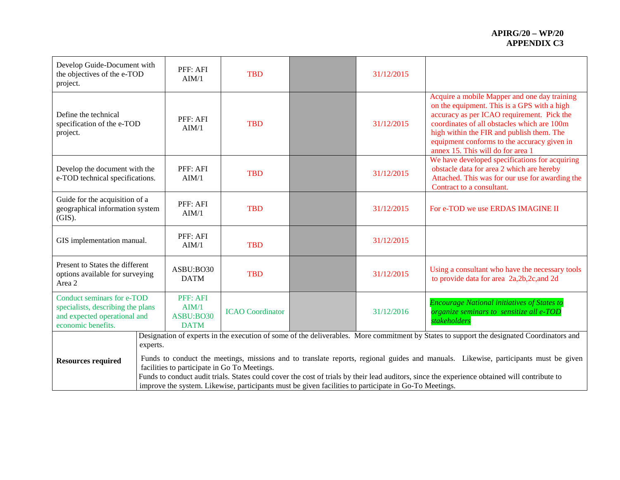| Develop Guide-Document with<br>the objectives of the e-TOD<br>project.                                                |  | PFF: AFI<br>AIM/1                                                                                                                                                                                                                                                                                                                                                                                                                             | <b>TBD</b>              |  | 31/12/2015 |                                                                                                                                                                                                                                                                                                                           |
|-----------------------------------------------------------------------------------------------------------------------|--|-----------------------------------------------------------------------------------------------------------------------------------------------------------------------------------------------------------------------------------------------------------------------------------------------------------------------------------------------------------------------------------------------------------------------------------------------|-------------------------|--|------------|---------------------------------------------------------------------------------------------------------------------------------------------------------------------------------------------------------------------------------------------------------------------------------------------------------------------------|
| Define the technical<br>specification of the e-TOD<br>project.                                                        |  | PFF: AFI<br>AIM/1                                                                                                                                                                                                                                                                                                                                                                                                                             | <b>TBD</b>              |  | 31/12/2015 | Acquire a mobile Mapper and one day training<br>on the equipment. This is a GPS with a high<br>accuracy as per ICAO requirement. Pick the<br>coordinates of all obstacles which are 100m<br>high within the FIR and publish them. The<br>equipment conforms to the accuracy given in<br>annex 15. This will do for area 1 |
| Develop the document with the<br>e-TOD technical specifications.                                                      |  | PFF: AFI<br>AIM/1                                                                                                                                                                                                                                                                                                                                                                                                                             | <b>TBD</b>              |  | 31/12/2015 | We have developed specifications for acquiring<br>obstacle data for area 2 which are hereby<br>Attached. This was for our use for awarding the<br>Contract to a consultant.                                                                                                                                               |
| Guide for the acquisition of a<br>geographical information system<br>(GIS).                                           |  | PFF: AFI<br>AIM/1                                                                                                                                                                                                                                                                                                                                                                                                                             | <b>TBD</b>              |  | 31/12/2015 | For e-TOD we use ERDAS IMAGINE II                                                                                                                                                                                                                                                                                         |
| GIS implementation manual.                                                                                            |  | PFF: AFI<br>AIM/1                                                                                                                                                                                                                                                                                                                                                                                                                             | <b>TBD</b>              |  | 31/12/2015 |                                                                                                                                                                                                                                                                                                                           |
| Present to States the different<br>options available for surveying<br>Area 2                                          |  | ASBU:BO30<br><b>DATM</b>                                                                                                                                                                                                                                                                                                                                                                                                                      | <b>TBD</b>              |  | 31/12/2015 | Using a consultant who have the necessary tools<br>to provide data for area 2a, 2b, 2c, and 2d                                                                                                                                                                                                                            |
| Conduct seminars for e-TOD<br>specialists, describing the plans<br>and expected operational and<br>economic benefits. |  | PFF: AFI<br>AIM/1<br>ASBU:BO30<br><b>DATM</b>                                                                                                                                                                                                                                                                                                                                                                                                 | <b>ICAO</b> Coordinator |  | 31/12/2016 | <b>Encourage National initiatives of States to</b><br>organize seminars to sensitize all e-TOD<br>stakeholders                                                                                                                                                                                                            |
| <b>Resources required</b>                                                                                             |  | Designation of experts in the execution of some of the deliverables. More commitment by States to support the designated Coordinators and<br>experts.                                                                                                                                                                                                                                                                                         |                         |  |            |                                                                                                                                                                                                                                                                                                                           |
|                                                                                                                       |  | Funds to conduct the meetings, missions and to translate reports, regional guides and manuals. Likewise, participants must be given<br>facilities to participate in Go To Meetings.<br>Funds to conduct audit trials. States could cover the cost of trials by their lead auditors, since the experience obtained will contribute to<br>improve the system. Likewise, participants must be given facilities to participate in Go-To Meetings. |                         |  |            |                                                                                                                                                                                                                                                                                                                           |